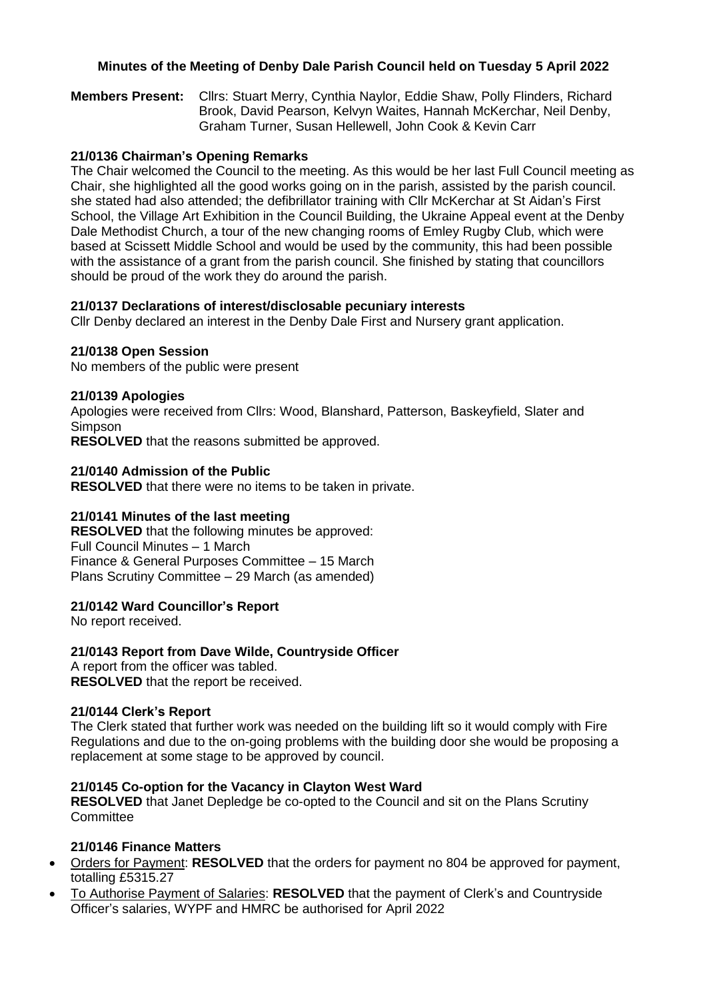## **Minutes of the Meeting of Denby Dale Parish Council held on Tuesday 5 April 2022**

**Members Present:** Cllrs: Stuart Merry, Cynthia Naylor, Eddie Shaw, Polly Flinders, Richard Brook, David Pearson, Kelvyn Waites, Hannah McKerchar, Neil Denby, Graham Turner, Susan Hellewell, John Cook & Kevin Carr

### **21/0136 Chairman's Opening Remarks**

The Chair welcomed the Council to the meeting. As this would be her last Full Council meeting as Chair, she highlighted all the good works going on in the parish, assisted by the parish council. she stated had also attended; the defibrillator training with Cllr McKerchar at St Aidan's First School, the Village Art Exhibition in the Council Building, the Ukraine Appeal event at the Denby Dale Methodist Church, a tour of the new changing rooms of Emley Rugby Club, which were based at Scissett Middle School and would be used by the community, this had been possible with the assistance of a grant from the parish council. She finished by stating that councillors should be proud of the work they do around the parish.

## **21/0137 Declarations of interest/disclosable pecuniary interests**

Cllr Denby declared an interest in the Denby Dale First and Nursery grant application.

#### **21/0138 Open Session**

No members of the public were present

#### **21/0139 Apologies**

Apologies were received from Cllrs: Wood, Blanshard, Patterson, Baskeyfield, Slater and Simpson

**RESOLVED** that the reasons submitted be approved.

#### **21/0140 Admission of the Public**

**RESOLVED** that there were no items to be taken in private.

## **21/0141 Minutes of the last meeting**

**RESOLVED** that the following minutes be approved: Full Council Minutes – 1 March Finance & General Purposes Committee – 15 March Plans Scrutiny Committee – 29 March (as amended)

## **21/0142 Ward Councillor's Report**

No report received.

## **21/0143 Report from Dave Wilde, Countryside Officer**

A report from the officer was tabled. **RESOLVED** that the report be received.

#### **21/0144 Clerk's Report**

The Clerk stated that further work was needed on the building lift so it would comply with Fire Regulations and due to the on-going problems with the building door she would be proposing a replacement at some stage to be approved by council.

#### **21/0145 Co-option for the Vacancy in Clayton West Ward**

**RESOLVED** that Janet Depledge be co-opted to the Council and sit on the Plans Scrutiny **Committee** 

## **21/0146 Finance Matters**

- Orders for Payment: **RESOLVED** that the orders for payment no 804 be approved for payment, totalling £5315.27
- To Authorise Payment of Salaries: **RESOLVED** that the payment of Clerk's and Countryside Officer's salaries, WYPF and HMRC be authorised for April 2022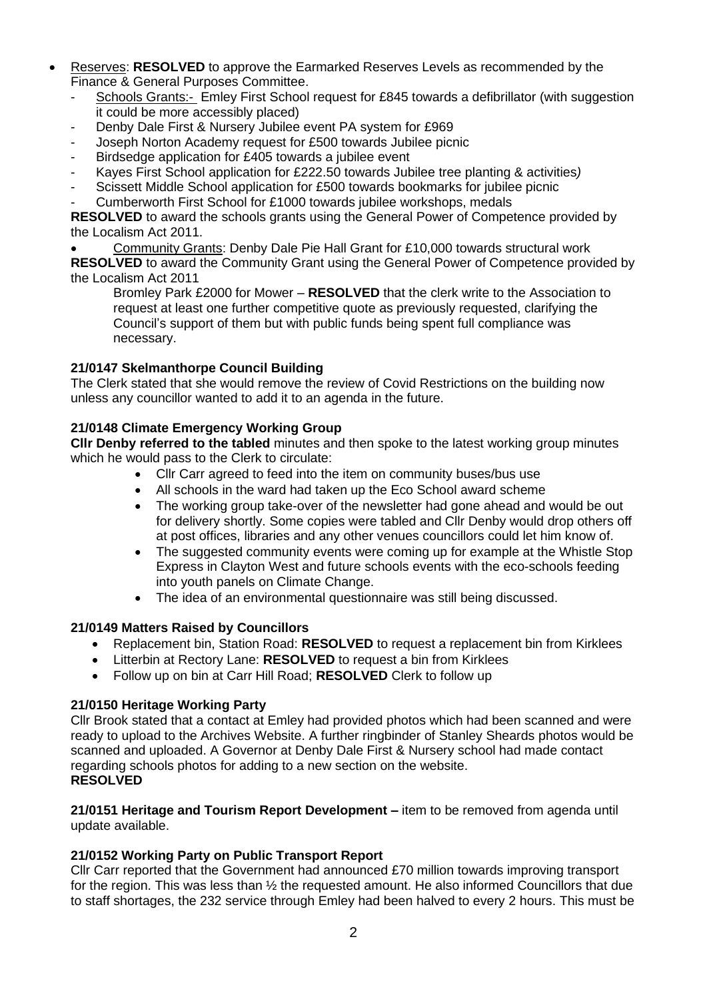- Reserves: **RESOLVED** to approve the Earmarked Reserves Levels as recommended by the Finance & General Purposes Committee.
	- Schools Grants:- Emley First School request for £845 towards a defibrillator (with suggestion it could be more accessibly placed)
	- Denby Dale First & Nursery Jubilee event PA system for £969
	- Joseph Norton Academy request for £500 towards Jubilee picnic
	- Birdsedge application for £405 towards a jubilee event
	- Kayes First School application for £222.50 towards Jubilee tree planting & activities*)*
	- Scissett Middle School application for £500 towards bookmarks for jubilee picnic
	- Cumberworth First School for £1000 towards jubilee workshops, medals

**RESOLVED** to award the schools grants using the General Power of Competence provided by the Localism Act 2011.

• Community Grants: Denby Dale Pie Hall Grant for £10,000 towards structural work

**RESOLVED** to award the Community Grant using the General Power of Competence provided by the Localism Act 2011

Bromley Park £2000 for Mower – **RESOLVED** that the clerk write to the Association to request at least one further competitive quote as previously requested, clarifying the Council's support of them but with public funds being spent full compliance was necessary.

## **21/0147 Skelmanthorpe Council Building**

The Clerk stated that she would remove the review of Covid Restrictions on the building now unless any councillor wanted to add it to an agenda in the future.

## **21/0148 Climate Emergency Working Group**

**Cllr Denby referred to the tabled** minutes and then spoke to the latest working group minutes which he would pass to the Clerk to circulate:

- Cllr Carr agreed to feed into the item on community buses/bus use
- All schools in the ward had taken up the Eco School award scheme
- The working group take-over of the newsletter had gone ahead and would be out for delivery shortly. Some copies were tabled and Cllr Denby would drop others off at post offices, libraries and any other venues councillors could let him know of.
- The suggested community events were coming up for example at the Whistle Stop Express in Clayton West and future schools events with the eco-schools feeding into youth panels on Climate Change.
- The idea of an environmental questionnaire was still being discussed.

## **21/0149 Matters Raised by Councillors**

- Replacement bin, Station Road: **RESOLVED** to request a replacement bin from Kirklees
- Litterbin at Rectory Lane: **RESOLVED** to request a bin from Kirklees
- Follow up on bin at Carr Hill Road; **RESOLVED** Clerk to follow up

## **21/0150 Heritage Working Party**

Cllr Brook stated that a contact at Emley had provided photos which had been scanned and were ready to upload to the Archives Website. A further ringbinder of Stanley Sheards photos would be scanned and uploaded. A Governor at Denby Dale First & Nursery school had made contact regarding schools photos for adding to a new section on the website. **RESOLVED**

**21/0151 Heritage and Tourism Report Development –** item to be removed from agenda until update available.

# **21/0152 Working Party on Public Transport Report**

Cllr Carr reported that the Government had announced £70 million towards improving transport for the region. This was less than  $\frac{1}{2}$  the requested amount. He also informed Councillors that due to staff shortages, the 232 service through Emley had been halved to every 2 hours. This must be